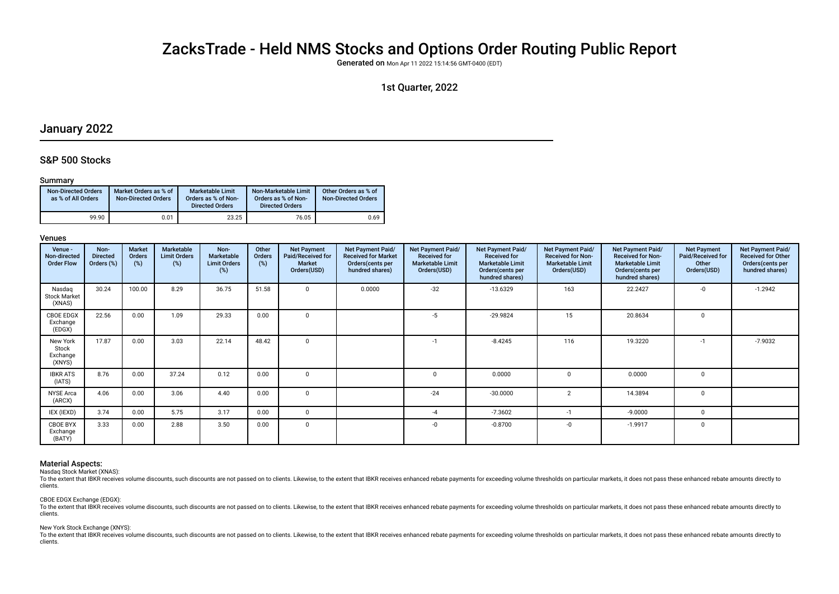# ZacksTrade - Held NMS Stocks and Options Order Routing Public Report

Generated on Mon Apr 11 2022 15:14:56 GMT-0400 (EDT)

# 1st Quarter, 2022

# January 2022

# S&P 500 Stocks

## Summary

| <b>Non-Directed Orders</b><br>as % of All Orders | Market Orders as % of<br><b>Non-Directed Orders</b> | Marketable Limit<br>Orders as % of Non-<br><b>Directed Orders</b> | Non-Marketable Limit<br>Orders as % of Non-<br><b>Directed Orders</b> | Other Orders as % of<br><b>Non-Directed Orders</b> |
|--------------------------------------------------|-----------------------------------------------------|-------------------------------------------------------------------|-----------------------------------------------------------------------|----------------------------------------------------|
| 99.90                                            | 0.01                                                | 23.25                                                             | 76.05                                                                 | 0.69                                               |

## Venues

| Venue -<br>Non-directed<br><b>Order Flow</b> | Non-<br><b>Directed</b><br>Orders (%) | <b>Market</b><br>Orders<br>(%) | Marketable<br><b>Limit Orders</b><br>(%) | Non-<br><b>Marketable</b><br><b>Limit Orders</b><br>(%) | Other<br>Orders<br>(%) | <b>Net Payment</b><br>Paid/Received for<br><b>Market</b><br>Orders(USD) | Net Payment Paid/<br><b>Received for Market</b><br>Orders (cents per<br>hundred shares) | <b>Net Payment Paid/</b><br><b>Received for</b><br><b>Marketable Limit</b><br>Orders(USD) | <b>Net Payment Paid/</b><br><b>Received for</b><br><b>Marketable Limit</b><br>Orders (cents per<br>hundred shares) | Net Payment Paid/<br><b>Received for Non-</b><br><b>Marketable Limit</b><br>Orders(USD) | Net Payment Paid/<br><b>Received for Non-</b><br><b>Marketable Limit</b><br>Orders(cents per<br>hundred shares) | <b>Net Payment</b><br>Paid/Received for<br>Other<br>Orders(USD) | Net Payment Paid/<br><b>Received for Other</b><br>Orders(cents per<br>hundred shares) |
|----------------------------------------------|---------------------------------------|--------------------------------|------------------------------------------|---------------------------------------------------------|------------------------|-------------------------------------------------------------------------|-----------------------------------------------------------------------------------------|-------------------------------------------------------------------------------------------|--------------------------------------------------------------------------------------------------------------------|-----------------------------------------------------------------------------------------|-----------------------------------------------------------------------------------------------------------------|-----------------------------------------------------------------|---------------------------------------------------------------------------------------|
| Nasdag<br><b>Stock Market</b><br>(XNAS)      | 30.24                                 | 100.00                         | 8.29                                     | 36.75                                                   | 51.58                  | $\Omega$                                                                | 0.0000                                                                                  | $-32$                                                                                     | $-13.6329$                                                                                                         | 163                                                                                     | 22.2427                                                                                                         | $-0$                                                            | $-1.2942$                                                                             |
| <b>CBOE EDGX</b><br>Exchange<br>(EDGX)       | 22.56                                 | 0.00                           | 1.09                                     | 29.33                                                   | 0.00                   | $\Omega$                                                                |                                                                                         | $-5$                                                                                      | $-29.9824$                                                                                                         | 15                                                                                      | 20.8634                                                                                                         |                                                                 |                                                                                       |
| New York<br>Stock<br>Exchange<br>(XNYS)      | 17.87                                 | 0.00                           | 3.03                                     | 22.14                                                   | 48.42                  | $\mathbf 0$                                                             |                                                                                         | $-1$                                                                                      | $-8.4245$                                                                                                          | 116                                                                                     | 19.3220                                                                                                         | $-1$                                                            | $-7.9032$                                                                             |
| <b>IBKR ATS</b><br>(IATS)                    | 8.76                                  | 0.00                           | 37.24                                    | 0.12                                                    | 0.00                   | $\Omega$                                                                |                                                                                         |                                                                                           | 0.0000                                                                                                             |                                                                                         | 0.0000                                                                                                          | $\Omega$                                                        |                                                                                       |
| <b>NYSE Arca</b><br>(ARCX)                   | 4.06                                  | 0.00                           | 3.06                                     | 4.40                                                    | 0.00                   | $\mathbf 0$                                                             |                                                                                         | $-24$                                                                                     | $-30.0000$                                                                                                         | $\overline{2}$                                                                          | 14.3894                                                                                                         | $\Omega$                                                        |                                                                                       |
| IEX (IEXD)                                   | 3.74                                  | 0.00                           | 5.75                                     | 3.17                                                    | 0.00                   | $\Omega$                                                                |                                                                                         | -4                                                                                        | $-7.3602$                                                                                                          | $-1$                                                                                    | $-9.0000$                                                                                                       | $\Omega$                                                        |                                                                                       |
| CBOE BYX<br>Exchange<br>(BATY)               | 3.33                                  | 0.00                           | 2.88                                     | 3.50                                                    | 0.00                   | 0                                                                       |                                                                                         |                                                                                           | $-0.8700$                                                                                                          | -0                                                                                      | $-1.9917$                                                                                                       | $\Omega$                                                        |                                                                                       |

## Material Aspects:

Nasdaq Stock Market (XNAS):

To the extent that IBKR receives volume discounts, such discounts are not passed on to clients. Likewise, to the extent that IBKR receives enhanced rebate payments for exceeding volume thresholds on particular markets, it clients.

## CBOE EDGX Exchange (EDGX):

To the extent that IBKR receives volume discounts, such discounts are not passed on to clients. Likewise, to the extent that IBKR receives enhanced rebate payments for exceeding volume thresholds on particular markets, it clients.

#### New York Stock Exchange (XNYS):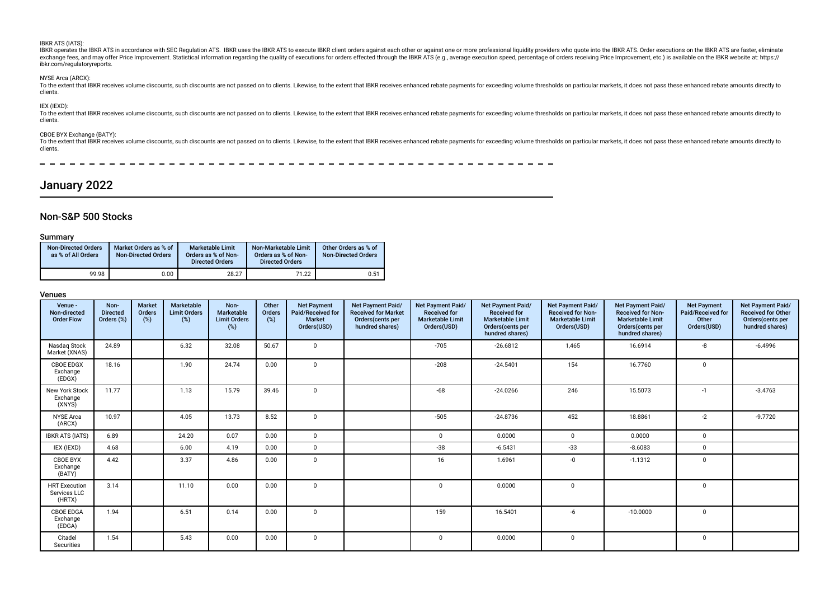#### IBKR ATS (IATS):

IBKR operates the IBKR ATS in accordance with SEC Regulation ATS. IBKR uses the IBKR ATS to execute IBKR client orders against each other or against one or more professional liquidity providers who quote into the IBKR ATS. exchange fees, and may offer Price Improvement. Statistical information regarding the quality of executions for orders effected through the IBKR ATS (e.g., average execution speed, percentage of orders receiving Price Impr ibkr.com/regulatoryreports.

#### NYSE Arca (ARCX):

To the extent that IBKR receives volume discounts, such discounts are not passed on to clients. Likewise, to the extent that IBKR receives enhanced rebate payments for exceeding volume thresholds on particular markets, it clients.

## IEX (IEXD):

To the extent that IBKR receives volume discounts, such discounts are not passed on to clients. Likewise, to the extent that IBKR receives enhanced rebate payments for exceeding volume thresholds on particular markets, it clients.

#### CBOE BYX Exchange (BATY):

To the extent that IBKR receives volume discounts, such discounts are not passed on to clients. Likewise, to the extent that IBKR receives enhanced rebate payments for exceeding volume thresholds on particular markets, it clients.

# January 2022

## Non-S&P 500 Stocks

## Summary

| <b>Non-Directed Orders</b><br>as % of All Orders | Market Orders as % of<br><b>Non-Directed Orders</b> | <b>Marketable Limit</b><br>Orders as % of Non-<br><b>Directed Orders</b> | Non-Marketable Limit<br>Orders as % of Non-<br><b>Directed Orders</b> | Other Orders as % of<br><b>Non-Directed Orders</b> |
|--------------------------------------------------|-----------------------------------------------------|--------------------------------------------------------------------------|-----------------------------------------------------------------------|----------------------------------------------------|
| 99.98                                            | 0.00                                                | 28.27                                                                    | 71.22                                                                 | 0.51                                               |

| Venue -<br>Non-directed<br><b>Order Flow</b>   | Non-<br><b>Directed</b><br>Orders (%) | <b>Market</b><br>Orders<br>(%) | Marketable<br><b>Limit Orders</b><br>(%) | Non-<br>Marketable<br><b>Limit Orders</b><br>(%) | Other<br>Orders<br>(%) | <b>Net Payment</b><br>Paid/Received for<br><b>Market</b><br>Orders(USD) | Net Payment Paid/<br><b>Received for Market</b><br>Orders(cents per<br>hundred shares) | Net Payment Paid/<br><b>Received for</b><br><b>Marketable Limit</b><br>Orders(USD) | Net Payment Paid/<br><b>Received for</b><br><b>Marketable Limit</b><br>Orders(cents per<br>hundred shares) | Net Payment Paid/<br><b>Received for Non-</b><br><b>Marketable Limit</b><br>Orders(USD) | Net Payment Paid/<br><b>Received for Non-</b><br><b>Marketable Limit</b><br>Orders(cents per<br>hundred shares) | <b>Net Payment</b><br>Paid/Received for<br>Other<br>Orders(USD) | Net Payment Paid/<br><b>Received for Other</b><br>Orders(cents per<br>hundred shares) |
|------------------------------------------------|---------------------------------------|--------------------------------|------------------------------------------|--------------------------------------------------|------------------------|-------------------------------------------------------------------------|----------------------------------------------------------------------------------------|------------------------------------------------------------------------------------|------------------------------------------------------------------------------------------------------------|-----------------------------------------------------------------------------------------|-----------------------------------------------------------------------------------------------------------------|-----------------------------------------------------------------|---------------------------------------------------------------------------------------|
| Nasdag Stock<br>Market (XNAS)                  | 24.89                                 |                                | 6.32                                     | 32.08                                            | 50.67                  | $\Omega$                                                                |                                                                                        | $-705$                                                                             | $-26.6812$                                                                                                 | 1,465                                                                                   | 16.6914                                                                                                         | -8                                                              | $-6.4996$                                                                             |
| <b>CBOE EDGX</b><br>Exchange<br>(EDGX)         | 18.16                                 |                                | 1.90                                     | 24.74                                            | 0.00                   | $\Omega$                                                                |                                                                                        | $-208$                                                                             | $-24.5401$                                                                                                 | 154                                                                                     | 16.7760                                                                                                         | $\mathbf 0$                                                     |                                                                                       |
| New York Stock<br>Exchange<br>(XNYS)           | 11.77                                 |                                | 1.13                                     | 15.79                                            | 39.46                  | $\Omega$                                                                |                                                                                        | $-68$                                                                              | $-24.0266$                                                                                                 | 246                                                                                     | 15.5073                                                                                                         | $-1$                                                            | $-3.4763$                                                                             |
| <b>NYSE Arca</b><br>(ARCX)                     | 10.97                                 |                                | 4.05                                     | 13.73                                            | 8.52                   | $\Omega$                                                                |                                                                                        | $-505$                                                                             | $-24.8736$                                                                                                 | 452                                                                                     | 18.8861                                                                                                         | $-2$                                                            | $-9.7720$                                                                             |
| <b>IBKR ATS (IATS)</b>                         | 6.89                                  |                                | 24.20                                    | 0.07                                             | 0.00                   | $\Omega$                                                                |                                                                                        | 0                                                                                  | 0.0000                                                                                                     | $\mathbf{0}$                                                                            | 0.0000                                                                                                          | $\mathbf 0$                                                     |                                                                                       |
| IEX (IEXD)                                     | 4.68                                  |                                | 6.00                                     | 4.19                                             | 0.00                   | $\mathbf 0$                                                             |                                                                                        | $-38$                                                                              | $-6.5431$                                                                                                  | $-33$                                                                                   | $-8.6083$                                                                                                       | $\mathbf 0$                                                     |                                                                                       |
| CBOE BYX<br>Exchange<br>(BATY)                 | 4.42                                  |                                | 3.37                                     | 4.86                                             | 0.00                   | $\mathbf{0}$                                                            |                                                                                        | 16                                                                                 | 1.6961                                                                                                     | $-0$                                                                                    | $-1.1312$                                                                                                       | $\mathbf 0$                                                     |                                                                                       |
| <b>HRT</b> Execution<br>Services LLC<br>(HRTX) | 3.14                                  |                                | 11.10                                    | 0.00                                             | 0.00                   | $\Omega$                                                                |                                                                                        | $\mathbf 0$                                                                        | 0.0000                                                                                                     | $\Omega$                                                                                |                                                                                                                 | $\mathbf{0}$                                                    |                                                                                       |
| <b>CBOE EDGA</b><br>Exchange<br>(EDGA)         | 1.94                                  |                                | 6.51                                     | 0.14                                             | 0.00                   | $\Omega$                                                                |                                                                                        | 159                                                                                | 16.5401                                                                                                    | $-6$                                                                                    | $-10.0000$                                                                                                      | $\mathbf 0$                                                     |                                                                                       |
| Citadel<br>Securities                          | 1.54                                  |                                | 5.43                                     | 0.00                                             | 0.00                   | $\Omega$                                                                |                                                                                        | $\Omega$                                                                           | 0.0000                                                                                                     | $\Omega$                                                                                |                                                                                                                 | $\mathbf 0$                                                     |                                                                                       |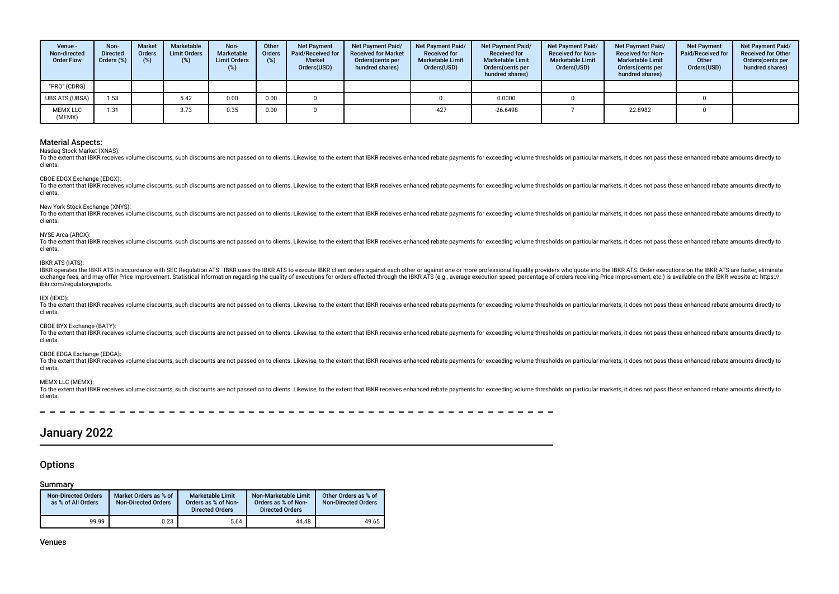| Venue -<br>Non-directed<br><b>Order Flow</b> | Non-<br><b>Directed</b><br>Orders (%) | <b>Market</b><br><b>Orders</b> | Marketable<br><b>Limit Orders</b><br>(%) | Non-<br>Marketable<br><b>Limit Orders</b><br>(%) | Other<br><b>Orders</b><br>(%) | <b>Net Payment</b><br>Paid/Received for<br><b>Market</b><br>Orders(USD) | Net Payment Paid/<br><b>Received for Market</b><br>Orders(cents per<br>hundred shares) | <b>Net Payment Paid/</b><br><b>Received for</b><br><b>Marketable Limit</b><br>Orders(USD) | Net Payment Paid/<br><b>Received for</b><br><b>Marketable Limit</b><br>Orders (cents per<br>hundred shares) | Net Payment Paid/<br><b>Received for Non-</b><br><b>Marketable Limit</b><br>Orders(USD) | Net Payment Paid/<br><b>Received for Non-</b><br><b>Marketable Limit</b><br>Orders(cents per<br>hundred shares) | <b>Net Payment</b><br>Paid/Received for<br>Other<br>Orders(USD) | Net Payment Paid/<br><b>Received for Other</b><br>Orders (cents per<br>hundred shares) |
|----------------------------------------------|---------------------------------------|--------------------------------|------------------------------------------|--------------------------------------------------|-------------------------------|-------------------------------------------------------------------------|----------------------------------------------------------------------------------------|-------------------------------------------------------------------------------------------|-------------------------------------------------------------------------------------------------------------|-----------------------------------------------------------------------------------------|-----------------------------------------------------------------------------------------------------------------|-----------------------------------------------------------------|----------------------------------------------------------------------------------------|
| "PRO" (CDRG)                                 |                                       |                                |                                          |                                                  |                               |                                                                         |                                                                                        |                                                                                           |                                                                                                             |                                                                                         |                                                                                                                 |                                                                 |                                                                                        |
| <b>UBS ATS (UBSA)</b>                        | 1.53                                  |                                | 5.42                                     | 0.00                                             | 0.00                          |                                                                         |                                                                                        |                                                                                           | 0.0000                                                                                                      |                                                                                         |                                                                                                                 |                                                                 |                                                                                        |
| <b>MEMX LLC</b><br>(MEMX)                    | 1.31                                  |                                | 3.73                                     | 0.35                                             | 0.00                          |                                                                         |                                                                                        | $-427$                                                                                    | $-26.6498$                                                                                                  |                                                                                         | 22.8982                                                                                                         |                                                                 |                                                                                        |

Nasdaq Stock Market (XNAS):

To the extent that IBKR receives volume discounts, such discounts are not passed on to clients. Likewise, to the extent that IBKR receives enhanced rebate payments for exceeding volume thresholds on particular markets, it clients.

## CBOE EDGX Exchange (EDGX):

To the extent that IBKR receives volume discounts, such discounts are not passed on to clients. Likewise, to the extent that IBKR receives enhanced rebate payments for exceeding volume thresholds on particular markets, it clients.

#### New York Stock Exchange (XNYS):

To the extent that IBKR receives yolume discounts, such discounts are not passed on to clients. Likewise, to the extent that IBKR receives enhanced rebate payments for exceeding yolume thresholds on particular markets, it clients.

#### NYSE Arca (ARCX):

To the extent that IBKR receives volume discounts, such discounts are not passed on to clients. I ikewise, to the extent that IBKR receives ephanced rebate payments for exceeding volume thresholds on particular markets, it clients.

#### IBKR ATS (IATS):

IBKR operates the IBKR ATS in accordance with SEC Regulation ATS. IBKR uses the IBKR ATS to execute IBKR client orders against each other or against one or more professional liquidity providers who quote into the IBKR ATS. exchange fees, and may offer Price Improvement, Statistical information regarding the quality of executions for orders effected through the IBKR ATS (e.g., average execution speed, percentage of orders receiving Price Impr ibkr.com/regulatoryreports.

#### IEX (IEXD):

To the extent that IBKR receives volume discounts, such discounts are not passed on to clients. Likewise, to the extent that IBKR receives enhanced rebate payments for exceeding volume thresholds on particular markets, it clients.

#### CBOE BYX Exchange (BATY):

To the extent that JBKR receives volume discounts, such discounts are not passed on to clients. Likewise, to the extent that IBKR receives enhanced rebate payments for exceeding volume thresholds on particular markets, it clients.

#### CBOE EDGA Exchange (EDGA):

To the extent that IBKR receives volume discounts, such discounts are not passed on to clients. Likewise, to the extent that IBKR receives enhanced rebate payments for exceeding volume thresholds on particular markets, it clients.

### MEMX LLC (MEMX):

To the extent that IBKR receives volume discounts, such discounts are not passed on to clients. Likewise, to the extent that IBKR receives enhanced rebate payments for exceeding volume thresholds on particular markets, it clients.

# January 2022

## **Options**

## Summary

| <b>Non-Directed Orders</b><br>as % of All Orders | Market Orders as % of<br><b>Non-Directed Orders</b> | <b>Marketable Limit</b><br>Orders as % of Non-<br><b>Directed Orders</b> | Non-Marketable Limit<br>Orders as % of Non-<br><b>Directed Orders</b> | Other Orders as % of<br>Non-Directed Orders |
|--------------------------------------------------|-----------------------------------------------------|--------------------------------------------------------------------------|-----------------------------------------------------------------------|---------------------------------------------|
| 99.99                                            | 0.23                                                | 5.64                                                                     | 44.48                                                                 | 49.65                                       |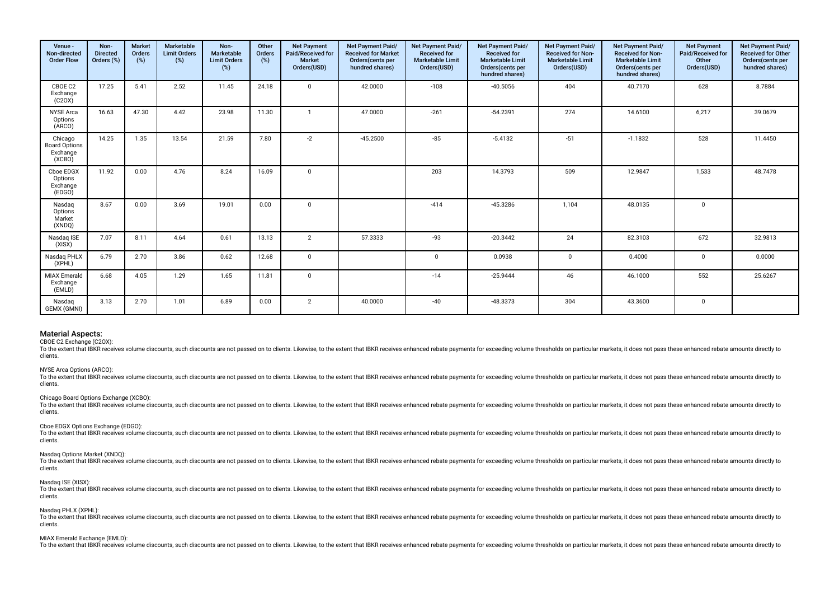| Venue -<br>Non-directed<br><b>Order Flow</b>          | Non-<br><b>Directed</b><br>Orders (%) | <b>Market</b><br>Orders<br>(%) | Marketable<br><b>Limit Orders</b><br>(%) | Non-<br>Marketable<br><b>Limit Orders</b><br>$(\%)$ | Other<br>Orders<br>(%) | <b>Net Payment</b><br>Paid/Received for<br><b>Market</b><br>Orders(USD) | Net Payment Paid/<br><b>Received for Market</b><br>Orders(cents per<br>hundred shares) | Net Payment Paid/<br><b>Received for</b><br><b>Marketable Limit</b><br>Orders(USD) | Net Payment Paid/<br><b>Received for</b><br><b>Marketable Limit</b><br>Orders(cents per<br>hundred shares) | Net Payment Paid/<br><b>Received for Non-</b><br><b>Marketable Limit</b><br>Orders(USD) | Net Payment Paid/<br><b>Received for Non-</b><br><b>Marketable Limit</b><br>Orders(cents per<br>hundred shares) | <b>Net Payment</b><br>Paid/Received for<br>Other<br>Orders(USD) | Net Payment Paid/<br><b>Received for Other</b><br>Orders(cents per<br>hundred shares) |
|-------------------------------------------------------|---------------------------------------|--------------------------------|------------------------------------------|-----------------------------------------------------|------------------------|-------------------------------------------------------------------------|----------------------------------------------------------------------------------------|------------------------------------------------------------------------------------|------------------------------------------------------------------------------------------------------------|-----------------------------------------------------------------------------------------|-----------------------------------------------------------------------------------------------------------------|-----------------------------------------------------------------|---------------------------------------------------------------------------------------|
| CBOE C2<br>Exchange<br>(C20X)                         | 17.25                                 | 5.41                           | 2.52                                     | 11.45                                               | 24.18                  | $\mathbf 0$                                                             | 42.0000                                                                                | $-108$                                                                             | $-40.5056$                                                                                                 | 404                                                                                     | 40.7170                                                                                                         | 628                                                             | 8.7884                                                                                |
| <b>NYSE</b> Arca<br>Options<br>(ARCO)                 | 16.63                                 | 47.30                          | 4.42                                     | 23.98                                               | 11.30                  | $\mathbf{1}$                                                            | 47.0000                                                                                | $-261$                                                                             | $-54.2391$                                                                                                 | 274                                                                                     | 14.6100                                                                                                         | 6,217                                                           | 39.0679                                                                               |
| Chicago<br><b>Board Options</b><br>Exchange<br>(XCBO) | 14.25                                 | 1.35                           | 13.54                                    | 21.59                                               | 7.80                   | $-2$                                                                    | $-45.2500$                                                                             | $-85$                                                                              | $-5.4132$                                                                                                  | $-51$                                                                                   | $-1.1832$                                                                                                       | 528                                                             | 11.4450                                                                               |
| Cboe EDGX<br>Options<br>Exchange<br>(EDGO)            | 11.92                                 | 0.00                           | 4.76                                     | 8.24                                                | 16.09                  | $\mathbf 0$                                                             |                                                                                        | 203                                                                                | 14.3793                                                                                                    | 509                                                                                     | 12.9847                                                                                                         | 1,533                                                           | 48.7478                                                                               |
| Nasdag<br>Options<br>Market<br>(XNDQ)                 | 8.67                                  | 0.00                           | 3.69                                     | 19.01                                               | 0.00                   | $\Omega$                                                                |                                                                                        | $-414$                                                                             | $-45.3286$                                                                                                 | 1,104                                                                                   | 48.0135                                                                                                         | $\mathbf 0$                                                     |                                                                                       |
| Nasdag ISE<br>(XISX)                                  | 7.07                                  | 8.11                           | 4.64                                     | 0.61                                                | 13.13                  | $\overline{2}$                                                          | 57.3333                                                                                | $-93$                                                                              | $-20.3442$                                                                                                 | 24                                                                                      | 82.3103                                                                                                         | 672                                                             | 32.9813                                                                               |
| Nasdaq PHLX<br>(XPHL)                                 | 6.79                                  | 2.70                           | 3.86                                     | 0.62                                                | 12.68                  | $\mathbf{0}$                                                            |                                                                                        | $\Omega$                                                                           | 0.0938                                                                                                     | $\mathbf 0$                                                                             | 0.4000                                                                                                          | $\mathbf 0$                                                     | 0.0000                                                                                |
| <b>MIAX Emerald</b><br>Exchange<br>(EMLD)             | 6.68                                  | 4.05                           | 1.29                                     | 1.65                                                | 11.81                  | $\Omega$                                                                |                                                                                        | $-14$                                                                              | $-25.9444$                                                                                                 | 46                                                                                      | 46.1000                                                                                                         | 552                                                             | 25.6267                                                                               |
| Nasdag<br>GEMX (GMNI)                                 | 3.13                                  | 2.70                           | 1.01                                     | 6.89                                                | 0.00                   | $\overline{2}$                                                          | 40.0000                                                                                | $-40$                                                                              | $-48.3373$                                                                                                 | 304                                                                                     | 43.3600                                                                                                         | $\mathbf 0$                                                     |                                                                                       |

CBOE C2 Exchange (C2OX):

To the extent that IBKR receives volume discounts, such discounts are not passed on to clients. Likewise, to the extent that IBKR receives enhanced rebate payments for exceeding volume thresholds on particular markets, it clients.

#### NYSE Arca Options (ARCO):

To the extent that IBKR receives volume discounts, such discounts are not passed on to clients. Likewise, to the extent that IBKR receives enhanced rebate payments for exceeding volume thresholds on particular markets, it clients.

#### Chicago Board Options Exchange (XCBO):

To the extent that IBKR receives volume discounts, such discounts are not passed on to clients. Likewise, to the extent that IBKR receives enhanced rebate payments for exceeding volume thresholds on particular markets, it clients.

#### Cboe EDGX Options Exchange (EDGO):

To the extent that IBKR receives volume discounts, such discounts are not passed on to clients. Likewise, to the extent that IBKR receives enhanced rebate payments for exceeding volume thresholds on particular markets, it clients.

## Nasdaq Options Market (XNDQ):

To the extent that IBKR receives volume discounts, such discounts are not passed on to clients. Likewise, to the extent that IBKR receives enhanced rebate payments for exceeding volume thresholds on particular markets, it clients.

#### Nasdaq ISE (XISX):

To the extent that IBKR receives volume discounts, such discounts are not passed on to clients. Likewise, to the extent that IBKR receives enhanced rebate payments for exceeding volume thresholds on particular markets, it clients.

## Nasdaq PHLX (XPHL):

To the extent that IBKR receives volume discounts, such discounts are not passed on to clients. Likewise, to the extent that IBKR receives enhanced rebate payments for exceeding volume thresholds on particular markets, it clients.

## MIAX Emerald Exchange (EMLD):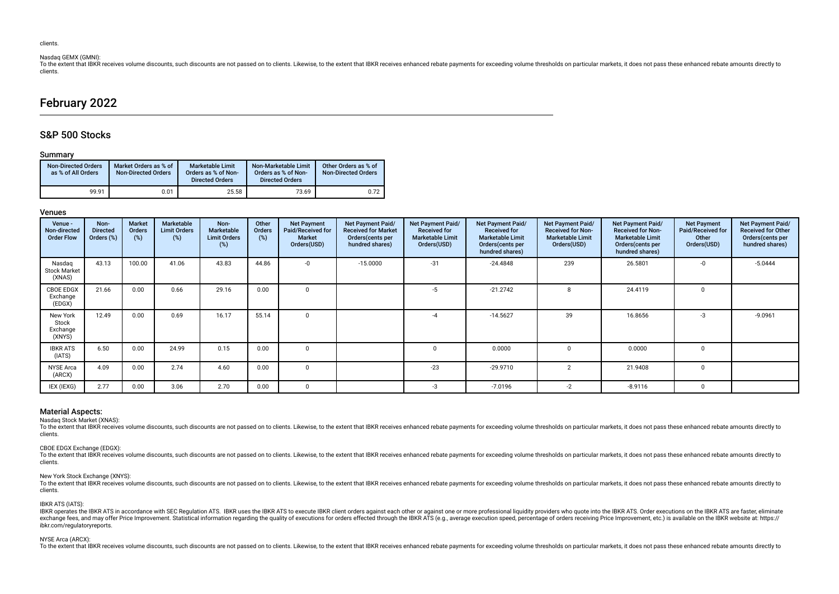## Nasdaq GEMX (GMNI):

To the extent that IBKR receives volume discounts, such discounts are not passed on to clients. Likewise, to the extent that IBKR receives enhanced rebate payments for exceeding volume thresholds on particular markets, it clients.

# February 2022

## S&P 500 Stocks

## Summary

| <b>Non-Directed Orders</b><br>as % of All Orders | Market Orders as % of<br><b>Non-Directed Orders</b> | <b>Marketable Limit</b><br>Orders as % of Non-<br><b>Directed Orders</b> | Non-Marketable Limit<br>Orders as % of Non-<br><b>Directed Orders</b> | Other Orders as % of<br><b>Non-Directed Orders</b> |
|--------------------------------------------------|-----------------------------------------------------|--------------------------------------------------------------------------|-----------------------------------------------------------------------|----------------------------------------------------|
| 99.91                                            | 0.01                                                | 25.58                                                                    | 73.69                                                                 | 0.72                                               |

## Venues

| Venue -<br>Non-directed<br><b>Order Flow</b> | Non-<br><b>Directed</b><br>Orders (%) | <b>Market</b><br><b>Orders</b><br>(%) | Marketable<br><b>Limit Orders</b><br>(%) | Non-<br><b>Marketable</b><br><b>Limit Orders</b><br>(%) | Other<br>Orders<br>(%) | <b>Net Payment</b><br>Paid/Received for<br>Market<br>Orders(USD) | Net Payment Paid/<br><b>Received for Market</b><br>Orders (cents per<br>hundred shares) | Net Payment Paid/<br><b>Received for</b><br><b>Marketable Limit</b><br>Orders(USD) | Net Payment Paid/<br><b>Received for</b><br><b>Marketable Limit</b><br>Orders(cents per<br>hundred shares) | Net Payment Paid/<br><b>Received for Non-</b><br><b>Marketable Limit</b><br>Orders(USD) | Net Payment Paid/<br><b>Received for Non-</b><br><b>Marketable Limit</b><br>Orders(cents per<br>hundred shares) | <b>Net Payment</b><br>Paid/Received for<br>Other<br>Orders(USD) | Net Payment Paid/<br><b>Received for Other</b><br>Orders (cents per<br>hundred shares) |
|----------------------------------------------|---------------------------------------|---------------------------------------|------------------------------------------|---------------------------------------------------------|------------------------|------------------------------------------------------------------|-----------------------------------------------------------------------------------------|------------------------------------------------------------------------------------|------------------------------------------------------------------------------------------------------------|-----------------------------------------------------------------------------------------|-----------------------------------------------------------------------------------------------------------------|-----------------------------------------------------------------|----------------------------------------------------------------------------------------|
| Nasdaq<br><b>Stock Market</b><br>(XNAS)      | 43.13                                 | 100.00                                | 41.06                                    | 43.83                                                   | 44.86                  | -0                                                               | $-15.0000$                                                                              | $-31$                                                                              | $-24.4848$                                                                                                 | 239                                                                                     | 26.5801                                                                                                         |                                                                 | $-5.0444$                                                                              |
| <b>CBOE EDGX</b><br>Exchange<br>(EDGX)       | 21.66                                 | 0.00                                  | 0.66                                     | 29.16                                                   | 0.00                   |                                                                  |                                                                                         | -5                                                                                 | $-21.2742$                                                                                                 |                                                                                         | 24.4119                                                                                                         |                                                                 |                                                                                        |
| New York<br>Stock<br>Exchange<br>(XNYS)      | 12.49                                 | 0.00                                  | 0.69                                     | 16.17                                                   | 55.14                  | $\Omega$                                                         |                                                                                         |                                                                                    | $-14.5627$                                                                                                 | 39                                                                                      | 16.8656                                                                                                         | $-3$                                                            | $-9.0961$                                                                              |
| <b>IBKR ATS</b><br>(IATS)                    | 6.50                                  | 0.00                                  | 24.99                                    | 0.15                                                    | 0.00                   | $\Omega$                                                         |                                                                                         |                                                                                    | 0.0000                                                                                                     |                                                                                         | 0.0000                                                                                                          | $\Omega$                                                        |                                                                                        |
| <b>NYSE Arca</b><br>(ARCX)                   | 4.09                                  | 0.00                                  | 2.74                                     | 4.60                                                    | 0.00                   | $\Omega$                                                         |                                                                                         | $-23$                                                                              | $-29.9710$                                                                                                 | $\overline{2}$                                                                          | 21.9408                                                                                                         | $\Omega$                                                        |                                                                                        |
| IEX (IEXG)                                   | 2.77                                  | 0.00                                  | 3.06                                     | 2.70                                                    | 0.00                   | $\Omega$                                                         |                                                                                         | -3                                                                                 | $-7.0196$                                                                                                  | $-2$                                                                                    | $-8.9116$                                                                                                       | $\Omega$                                                        |                                                                                        |

#### Material Aspects:

Nasdaq Stock Market (XNAS):

To the extent that IBKR receives volume discounts, such discounts are not passed on to clients. Likewise, to the extent that IBKR receives enhanced rebate payments for exceeding volume thresholds on particular markets, it clients.

#### CBOE EDGX Exchange (EDGX):

To the extent that IBKR receives volume discounts, such discounts are not passed on to clients. Likewise, to the extent that IBKR receives enhanced rebate payments for exceeding volume thresholds on particular markets, it clients.

#### New York Stock Exchange (XNYS):

To the extent that IBKR receives volume discounts, such discounts are not passed on to clients. Likewise, to the extent that IBKR receives enhanced rebate payments for exceeding volume thresholds on particular markets, it clients.

#### IBKR ATS (IATS):

IBKR operates the IBKR ATS in accordance with SEC Regulation ATS. IBKR uses the IBKR ATS to execute IBKR client orders against each other or against one or more professional liquidity providers who quote into the IBKR ATS. exchange fees, and may offer Price Improvement. Statistical information regarding the quality of executions for orders effected through the IBKR ATS (e.g., average execution speed, percentage of orders receiving Price Impr ibkr.com/regulatoryreports.

#### NYSE Arca (ARCX):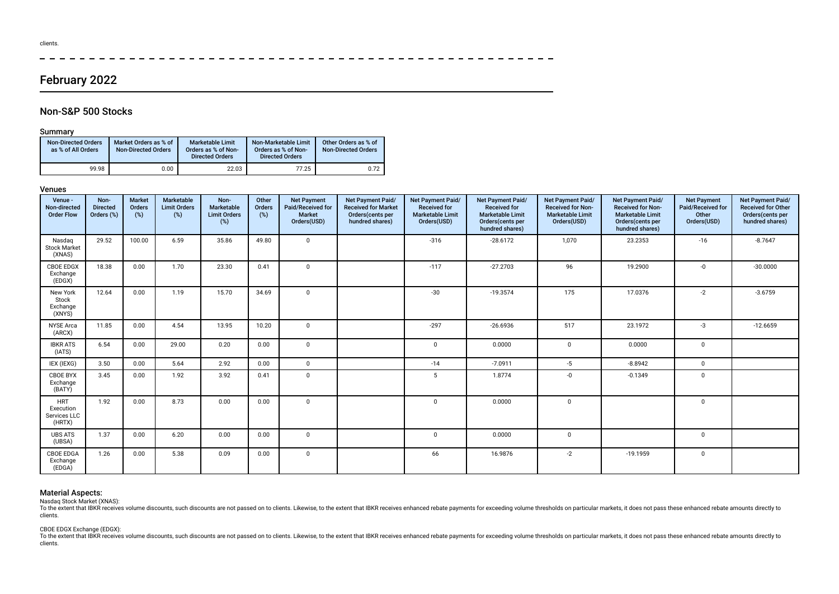# February 2022

## Non-S&P 500 Stocks

## Summary

| <b>Non-Directed Orders</b><br>as % of All Orders | Market Orders as % of<br><b>Non-Directed Orders</b> | <b>Marketable Limit</b><br>Orders as % of Non-<br><b>Directed Orders</b> | Non-Marketable Limit<br>Orders as % of Non-<br><b>Directed Orders</b> | Other Orders as % of<br><b>Non-Directed Orders</b> |
|--------------------------------------------------|-----------------------------------------------------|--------------------------------------------------------------------------|-----------------------------------------------------------------------|----------------------------------------------------|
| 99.98                                            | 0.00                                                | 22.03                                                                    | 77.25                                                                 | 0.72                                               |

## Venues

| Venue -<br>Non-directed<br><b>Order Flow</b>      | Non-<br><b>Directed</b><br>Orders (%) | <b>Market</b><br>Orders<br>(%) | Marketable<br><b>Limit Orders</b><br>(%) | Non-<br>Marketable<br><b>Limit Orders</b><br>$(\%)$ | Other<br>Orders<br>$(\%)$ | <b>Net Payment</b><br>Paid/Received for<br><b>Market</b><br>Orders(USD) | Net Payment Paid/<br><b>Received for Market</b><br>Orders(cents per<br>hundred shares) | Net Payment Paid/<br><b>Received for</b><br><b>Marketable Limit</b><br>Orders(USD) | Net Payment Paid/<br><b>Received for</b><br><b>Marketable Limit</b><br>Orders(cents per<br>hundred shares) | Net Payment Paid/<br><b>Received for Non-</b><br><b>Marketable Limit</b><br>Orders(USD) | Net Payment Paid/<br><b>Received for Non-</b><br><b>Marketable Limit</b><br>Orders(cents per<br>hundred shares) | <b>Net Payment</b><br>Paid/Received for<br>Other<br>Orders(USD) | Net Payment Paid/<br><b>Received for Other</b><br>Orders(cents per<br>hundred shares) |
|---------------------------------------------------|---------------------------------------|--------------------------------|------------------------------------------|-----------------------------------------------------|---------------------------|-------------------------------------------------------------------------|----------------------------------------------------------------------------------------|------------------------------------------------------------------------------------|------------------------------------------------------------------------------------------------------------|-----------------------------------------------------------------------------------------|-----------------------------------------------------------------------------------------------------------------|-----------------------------------------------------------------|---------------------------------------------------------------------------------------|
| Nasdag<br><b>Stock Market</b><br>(XNAS)           | 29.52                                 | 100.00                         | 6.59                                     | 35.86                                               | 49.80                     | $\mathbf 0$                                                             |                                                                                        | $-316$                                                                             | $-28.6172$                                                                                                 | 1,070                                                                                   | 23.2353                                                                                                         | $-16$                                                           | $-8.7647$                                                                             |
| <b>CBOE EDGX</b><br>Exchange<br>(EDGX)            | 18.38                                 | 0.00                           | 1.70                                     | 23.30                                               | 0.41                      | $\mathbf 0$                                                             |                                                                                        | $-117$                                                                             | $-27.2703$                                                                                                 | 96                                                                                      | 19.2900                                                                                                         | -0                                                              | $-30.0000$                                                                            |
| New York<br>Stock<br>Exchange<br>(XNYS)           | 12.64                                 | 0.00                           | 1.19                                     | 15.70                                               | 34.69                     | $\mathbf 0$                                                             |                                                                                        | $-30$                                                                              | $-19.3574$                                                                                                 | 175                                                                                     | 17.0376                                                                                                         | $-2$                                                            | $-3.6759$                                                                             |
| <b>NYSE</b> Arca<br>(ARCX)                        | 11.85                                 | 0.00                           | 4.54                                     | 13.95                                               | 10.20                     | $\mathbf 0$                                                             |                                                                                        | $-297$                                                                             | $-26.6936$                                                                                                 | 517                                                                                     | 23.1972                                                                                                         | -3                                                              | $-12.6659$                                                                            |
| <b>IBKR ATS</b><br>(IATS)                         | 6.54                                  | 0.00                           | 29.00                                    | 0.20                                                | 0.00                      | $\mathbf 0$                                                             |                                                                                        | $\Omega$                                                                           | 0.0000                                                                                                     | $\mathbf 0$                                                                             | 0.0000                                                                                                          | $\mathbf 0$                                                     |                                                                                       |
| IEX (IEXG)                                        | 3.50                                  | 0.00                           | 5.64                                     | 2.92                                                | 0.00                      | $\mathbf 0$                                                             |                                                                                        | $-14$                                                                              | $-7.0911$                                                                                                  | $-5$                                                                                    | $-8.8942$                                                                                                       | $\mathbf 0$                                                     |                                                                                       |
| <b>CBOE BYX</b><br>Exchange<br>(BATY)             | 3.45                                  | 0.00                           | 1.92                                     | 3.92                                                | 0.41                      | $\mathbf 0$                                                             |                                                                                        | 5                                                                                  | 1.8774                                                                                                     | -0                                                                                      | $-0.1349$                                                                                                       | $\mathbf 0$                                                     |                                                                                       |
| <b>HRT</b><br>Execution<br>Services LLC<br>(HRTX) | 1.92                                  | 0.00                           | 8.73                                     | 0.00                                                | 0.00                      | $\mathbf 0$                                                             |                                                                                        | $\Omega$                                                                           | 0.0000                                                                                                     | $\mathbf 0$                                                                             |                                                                                                                 | $\mathbf 0$                                                     |                                                                                       |
| <b>UBS ATS</b><br>(UBSA)                          | 1.37                                  | 0.00                           | 6.20                                     | 0.00                                                | 0.00                      | $\mathbf 0$                                                             |                                                                                        | $\Omega$                                                                           | 0.0000                                                                                                     | $\mathbf 0$                                                                             |                                                                                                                 | $\mathbf 0$                                                     |                                                                                       |
| <b>CBOE EDGA</b><br>Exchange<br>(EDGA)            | 1.26                                  | 0.00                           | 5.38                                     | 0.09                                                | 0.00                      | $\mathbf 0$                                                             |                                                                                        | 66                                                                                 | 16.9876                                                                                                    | $-2$                                                                                    | $-19.1959$                                                                                                      | $\mathbf 0$                                                     |                                                                                       |

 $\frac{1}{2}$ 

## Material Aspects:

Nasdaq Stock Market (XNAS):

To the extent that lBKR receives volume discounts, such discounts are not passed on to clients. Likewise, to the extent that IBKR receives enhanced rebate payments for exceeding volume thresholds on particular markets, it clients.

## CBOE EDGX Exchange (EDGX):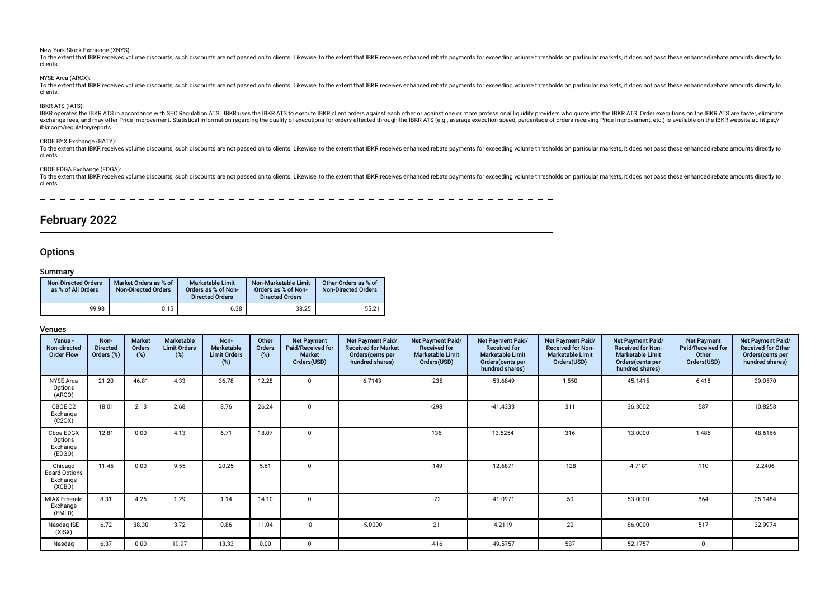#### New York Stock Exchange (XNYS):

To the extent that IBKR receives volume discounts, such discounts are not passed on to clients. Likewise, to the extent that IBKR receives enhanced rebate payments for exceeding volume thresholds on particular markets, it clients.

#### NYSE Arca (ARCX):

To the extent that IBKR receives volume discounts, such discounts are not passed on to clients. Likewise, to the extent that IBKR receives enhanced rebate payments for exceeding volume thresholds on particular markets, it clients.

## IBKR ATS (IATS):

IBKR operates the IBKR ATS in accordance with SEC Regulation ATS. IBKR uses the IBKR ATS to execute IBKR client orders against each other or against one or more professional liquidity providers who quote into the IBKR ATS. ibkr.com/regulatoryreports.

## CBOE BYX Exchange (BATY):

To the extent that JBKR receives volume discounts, such discounts are not passed on to clients. Likewise, to the extent that IBKR receives enhanced rebate payments for exceeding volume thresholds on particular markets, it clients.

## CBOE EDGA Exchange (EDGA):

To the extent that IBKR receives volume discounts, such discounts are not passed on to clients. Likewise, to the extent that IBKR receives enhanced rebate payments for exceeding volume thresholds on particular markets, it clients.

 $=$   $\frac{1}{2}$ 

# February 2022

## **Options**

## Summary

| <b>Non-Directed Orders</b><br>as % of All Orders | Market Orders as % of<br><b>Non-Directed Orders</b> | <b>Marketable Limit</b><br>Orders as % of Non-<br><b>Directed Orders</b> | Non-Marketable Limit<br>Orders as % of Non-<br><b>Directed Orders</b> | Other Orders as % of<br><b>Non-Directed Orders</b> |
|--------------------------------------------------|-----------------------------------------------------|--------------------------------------------------------------------------|-----------------------------------------------------------------------|----------------------------------------------------|
| 99.98                                            | 0.15                                                | 6.38                                                                     | 38.25                                                                 | 55.21                                              |

| Venue -<br>Non-directed<br><b>Order Flow</b>          | Non-<br><b>Directed</b><br>Orders (%) | <b>Market</b><br>Orders<br>$(\%)$ | Marketable<br><b>Limit Orders</b><br>$(\%)$ | Non-<br>Marketable<br><b>Limit Orders</b><br>(%) | Other<br>Orders<br>(%) | <b>Net Payment</b><br>Paid/Received for<br><b>Market</b><br>Orders(USD) | Net Payment Paid/<br><b>Received for Market</b><br>Orders (cents per<br>hundred shares) | Net Payment Paid/<br><b>Received for</b><br><b>Marketable Limit</b><br>Orders(USD) | Net Payment Paid/<br><b>Received for</b><br><b>Marketable Limit</b><br>Orders(cents per<br>hundred shares) | Net Payment Paid/<br><b>Received for Non-</b><br><b>Marketable Limit</b><br>Orders(USD) | Net Payment Paid/<br><b>Received for Non-</b><br><b>Marketable Limit</b><br>Orders (cents per<br>hundred shares) | <b>Net Payment</b><br>Paid/Received for<br>Other<br>Orders(USD) | Net Payment Paid/<br><b>Received for Other</b><br>Orders (cents per<br>hundred shares) |
|-------------------------------------------------------|---------------------------------------|-----------------------------------|---------------------------------------------|--------------------------------------------------|------------------------|-------------------------------------------------------------------------|-----------------------------------------------------------------------------------------|------------------------------------------------------------------------------------|------------------------------------------------------------------------------------------------------------|-----------------------------------------------------------------------------------------|------------------------------------------------------------------------------------------------------------------|-----------------------------------------------------------------|----------------------------------------------------------------------------------------|
| <b>NYSE</b> Arca<br>Options<br>(ARCO)                 | 21.20                                 | 46.81                             | 4.33                                        | 36.78                                            | 12.28                  | $\mathbf 0$                                                             | 6.7143                                                                                  | $-235$                                                                             | $-53.6849$                                                                                                 | 1,550                                                                                   | 45.1415                                                                                                          | 6,418                                                           | 39.0570                                                                                |
| CBOE C2<br>Exchange<br>(C20X)                         | 18.01                                 | 2.13                              | 2.68                                        | 8.76                                             | 26.24                  | $\mathbf 0$                                                             |                                                                                         | $-298$                                                                             | $-41.4333$                                                                                                 | 311                                                                                     | 36.3002                                                                                                          | 587                                                             | 10.8258                                                                                |
| Cboe EDGX<br>Options<br>Exchange<br>(EDGO)            | 12.81                                 | 0.00                              | 4.13                                        | 6.71                                             | 18.07                  | $\mathbf 0$                                                             |                                                                                         | 136                                                                                | 13.5254                                                                                                    | 316                                                                                     | 13.0000                                                                                                          | 1,486                                                           | 48.6166                                                                                |
| Chicago<br><b>Board Options</b><br>Exchange<br>(XCBO) | 11.45                                 | 0.00                              | 9.55                                        | 20.25                                            | 5.61                   | $\mathbf 0$                                                             |                                                                                         | $-149$                                                                             | $-12.6871$                                                                                                 | $-128$                                                                                  | $-4.7181$                                                                                                        | 110                                                             | 2.2406                                                                                 |
| <b>MIAX Emerald</b><br>Exchange<br>(EMLD)             | 8.31                                  | 4.26                              | 1.29                                        | 1.14                                             | 14.10                  | $\mathbf 0$                                                             |                                                                                         | $-72$                                                                              | $-41.0971$                                                                                                 | 50                                                                                      | 53.0000                                                                                                          | 864                                                             | 25.1484                                                                                |
| Nasdaq ISE<br>(XISX)                                  | 6.72                                  | 38.30                             | 3.72                                        | 0.86                                             | 11.04                  | -0                                                                      | $-5.0000$                                                                               | 21                                                                                 | 4.2119                                                                                                     | 20                                                                                      | 86.0000                                                                                                          | 517                                                             | 32.9974                                                                                |
| Nasdaq                                                | 6.37                                  | 0.00                              | 19.97                                       | 13.33                                            | 0.00                   | 0                                                                       |                                                                                         | $-416$                                                                             | $-49.5757$                                                                                                 | 537                                                                                     | 52.1757                                                                                                          | $\mathbf{0}$                                                    |                                                                                        |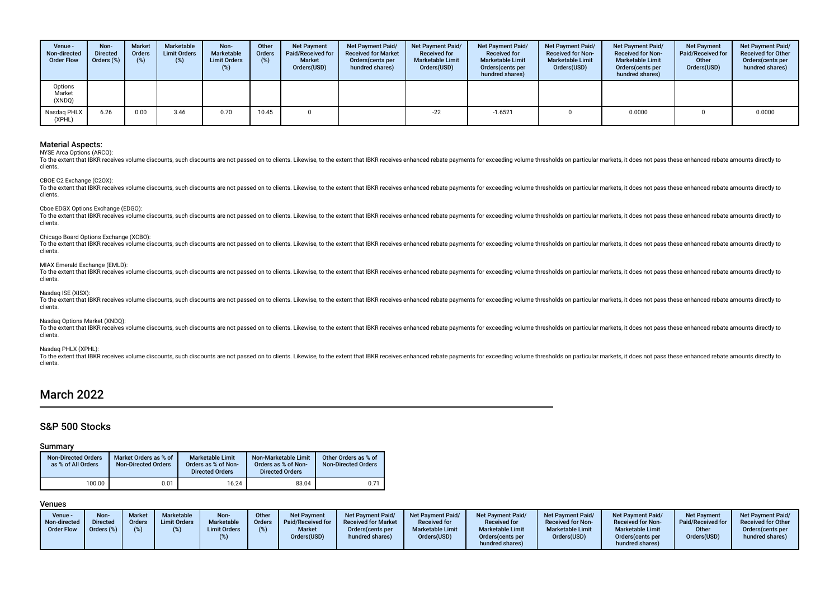| Venue -<br>Non-directed<br><b>Order Flow</b> | Non-<br><b>Directed</b><br>Orders (%) | <b>Market</b><br><b>Orders</b><br>(%) | Marketable<br><b>Limit Orders</b><br>(%) | Non-<br>Marketable<br><b>Limit Orders</b><br>(%) | Other<br>Orders<br>(%) | <b>Net Payment</b><br>Paid/Received for<br><b>Market</b><br>Orders(USD) | Net Payment Paid/<br><b>Received for Market</b><br>Orders(cents per<br>hundred shares) | <b>Net Payment Paid/</b><br><b>Received for</b><br><b>Marketable Limit</b><br>Orders(USD) | Net Payment Paid/<br><b>Received for</b><br><b>Marketable Limit</b><br>Orders (cents per<br>hundred shares) | <b>Net Payment Paid/</b><br><b>Received for Non-</b><br><b>Marketable Limit</b><br>Orders(USD) | Net Payment Paid/<br><b>Received for Non-</b><br><b>Marketable Limit</b><br>Orders(cents per<br>hundred shares) | <b>Net Payment</b><br>Paid/Received for<br>Other<br>Orders(USD) | <b>Net Payment Paid/</b><br><b>Received for Other</b><br>Orders (cents per<br>hundred shares) |
|----------------------------------------------|---------------------------------------|---------------------------------------|------------------------------------------|--------------------------------------------------|------------------------|-------------------------------------------------------------------------|----------------------------------------------------------------------------------------|-------------------------------------------------------------------------------------------|-------------------------------------------------------------------------------------------------------------|------------------------------------------------------------------------------------------------|-----------------------------------------------------------------------------------------------------------------|-----------------------------------------------------------------|-----------------------------------------------------------------------------------------------|
| Options<br>Market<br>(XNDQ)                  |                                       |                                       |                                          |                                                  |                        |                                                                         |                                                                                        |                                                                                           |                                                                                                             |                                                                                                |                                                                                                                 |                                                                 |                                                                                               |
| Nasdag PHLX<br>(XPHL)                        | 6.26                                  | 0.00                                  | 3.46                                     | 0.70                                             | 10.45                  |                                                                         |                                                                                        | $-22$                                                                                     | $-1.6521$                                                                                                   |                                                                                                | 0.0000                                                                                                          |                                                                 | 0.0000                                                                                        |

NYSE Arca Options (ARCO):

To the extent that IBKR receives volume discounts, such discounts are not passed on to clients. Likewise, to the extent that IBKR receives enhanced rebate payments for exceeding volume thresholds on particular markets, it clients.

CBOE C2 Exchange (C2OX):

To the extent that IBKR receives volume discounts, such discounts are not passed on to clients. Likewise, to the extent that IBKR receives enhanced rebate payments for exceeding volume thresholds on particular markets, it clients.

Cboe EDGX Options Exchange (EDGO):

To the extent that IBKR receives volume discounts, such discounts are not passed on to clients. Likewise, to the extent that IBKR receives enhanced rebate payments for exceeding volume thresholds on particular markets, it clients.

### Chicago Board Options Exchange (XCBO):

To the extent that IBKR receives volume discounts, such discounts are not passed on to clients. Likewise, to the extent that IBKR receives enhanced rebate payments for exceeding volume thresholds on particular markets, it clients.

#### MIAX Emerald Exchange (EMLD):

To the extent that IBKR receives volume discounts, such discounts are not passed on to clients. Likewise, to the extent that IBKR receives enhanced rebate payments for exceeding volume thresholds on particular markets, it clients.

## Nasdaq ISE (XISX):

To the extent that IBKR receives volume discounts, such discounts are not passed on to clients. Likewise, to the extent that IBKR receives enhanced rebate payments for exceeding volume thresholds on particular markets, it clients.

## Nasdaq Options Market (XNDQ):

To the extent that IBKR receives volume discounts, such discounts are not passed on to clients. Likewise, to the extent that IBKR receives enhanced rebate payments for exceeding volume thresholds on particular markets, it clients.

Nasdaq PHLX (XPHL):

To the extent that IBKR receives volume discounts, such discounts are not passed on to clients. Likewise, to the extent that IBKR receives enhanced rebate payments for exceeding volume thresholds on particular markets, it clients.

# March 2022

## S&P 500 Stocks

#### Summary

| <b>Non-Directed Orders</b><br>as % of All Orders | Market Orders as % of<br><b>Non-Directed Orders</b> | <b>Marketable Limit</b><br>Orders as % of Non-<br><b>Directed Orders</b> | Non-Marketable Limit<br>Orders as % of Non-<br><b>Directed Orders</b> | Other Orders as % of<br><b>Non-Directed Orders</b> |
|--------------------------------------------------|-----------------------------------------------------|--------------------------------------------------------------------------|-----------------------------------------------------------------------|----------------------------------------------------|
| 100.00                                           | 0.01                                                | 16.24                                                                    | 83.04                                                                 | $0.7^*$                                            |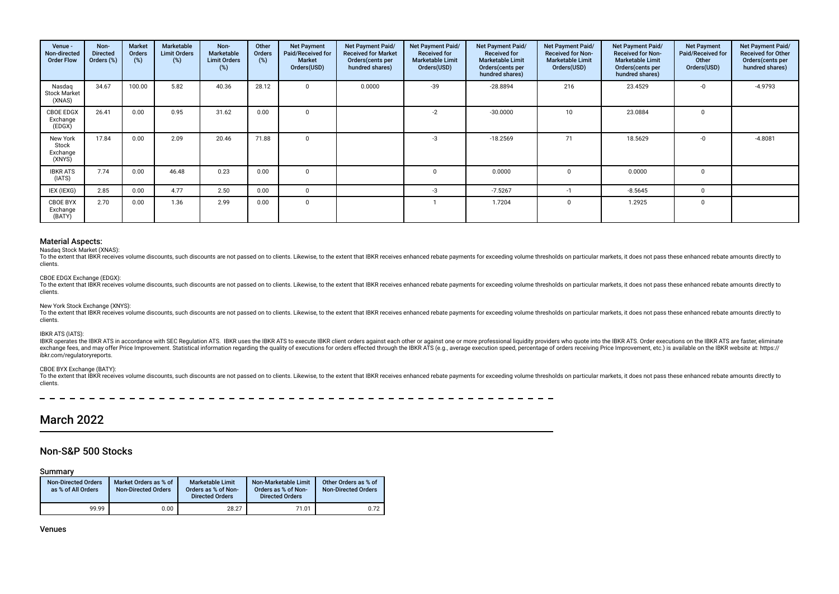| Venue -<br>Non-directed<br><b>Order Flow</b> | Non-<br><b>Directed</b><br>Orders (%) | Market<br>Orders<br>(%) | Marketable<br><b>Limit Orders</b><br>(%) | Non-<br>Marketable<br><b>Limit Orders</b><br>(%) | Other<br><b>Orders</b><br>(%) | <b>Net Payment</b><br>Paid/Received for<br><b>Market</b><br>Orders(USD) | Net Payment Paid/<br><b>Received for Market</b><br>Orders (cents per<br>hundred shares) | Net Payment Paid/<br><b>Received for</b><br><b>Marketable Limit</b><br>Orders(USD) | Net Payment Paid/<br>Received for<br><b>Marketable Limit</b><br>Orders (cents per<br>hundred shares) | Net Payment Paid/<br><b>Received for Non-</b><br><b>Marketable Limit</b><br>Orders(USD) | Net Payment Paid/<br><b>Received for Non-</b><br><b>Marketable Limit</b><br>Orders(cents per<br>hundred shares) | <b>Net Payment</b><br>Paid/Received for<br>Other<br>Orders(USD) | Net Payment Paid/<br>Received for Other<br>Orders(cents per<br>hundred shares) |
|----------------------------------------------|---------------------------------------|-------------------------|------------------------------------------|--------------------------------------------------|-------------------------------|-------------------------------------------------------------------------|-----------------------------------------------------------------------------------------|------------------------------------------------------------------------------------|------------------------------------------------------------------------------------------------------|-----------------------------------------------------------------------------------------|-----------------------------------------------------------------------------------------------------------------|-----------------------------------------------------------------|--------------------------------------------------------------------------------|
| Nasdag<br><b>Stock Market</b><br>(XNAS)      | 34.67                                 | 100.00                  | 5.82                                     | 40.36                                            | 28.12                         | $\mathbf{0}$                                                            | 0.0000                                                                                  | $-39$                                                                              | $-28.8894$                                                                                           | 216                                                                                     | 23.4529                                                                                                         | -0                                                              | $-4.9793$                                                                      |
| <b>CBOE EDGX</b><br>Exchange<br>(EDGX)       | 26.41                                 | 0.00                    | 0.95                                     | 31.62                                            | 0.00                          | $\Omega$                                                                |                                                                                         | $-2$                                                                               | $-30.0000$                                                                                           | 10                                                                                      | 23.0884                                                                                                         | $\Omega$                                                        |                                                                                |
| New York<br>Stock<br>Exchange<br>(XNYS)      | 17.84                                 | 0.00                    | 2.09                                     | 20.46                                            | 71.88                         | $\Omega$                                                                |                                                                                         | $-3$                                                                               | $-18.2569$                                                                                           | 71                                                                                      | 18.5629                                                                                                         | $-0$                                                            | $-4.8081$                                                                      |
| <b>IBKR ATS</b><br>(IATS)                    | 7.74                                  | 0.00                    | 46.48                                    | 0.23                                             | 0.00                          | $\Omega$                                                                |                                                                                         |                                                                                    | 0.0000                                                                                               | $\Omega$                                                                                | 0.0000                                                                                                          | $\Omega$                                                        |                                                                                |
| IEX (IEXG)                                   | 2.85                                  | 0.00                    | 4.77                                     | 2.50                                             | 0.00                          | $\Omega$                                                                |                                                                                         | $-3$                                                                               | $-7.5267$                                                                                            |                                                                                         | $-8.5645$                                                                                                       | $\Omega$                                                        |                                                                                |
| CBOE BYX<br>Exchange<br>(BATY)               | 2.70                                  | 0.00                    | 1.36                                     | 2.99                                             | 0.00                          | $\Omega$                                                                |                                                                                         |                                                                                    | 1.7204                                                                                               | $\Omega$                                                                                | 1.2925                                                                                                          | $\Omega$                                                        |                                                                                |

Nasdaq Stock Market (XNAS):

To the extent that IBKR receives volume discounts, such discounts are not passed on to clients. Likewise, to the extent that IBKR receives enhanced rebate payments for exceeding volume thresholds on particular markets, it clients.

## CBOE EDGX Exchange (EDGX):

To the extent that IBKR receives volume discounts, such discounts are not passed on to clients. Likewise, to the extent that IBKR receives enhanced rebate payments for exceeding volume thresholds on particular markets, it clients.

### New York Stock Exchange (XNYS):

To the extent that IBKR receives volume discounts, such discounts are not passed on to clients. Likewise, to the extent that IBKR receives enhanced rebate payments for exceeding volume thresholds on particular markets, it clients.

#### IBKR ATS (IATS):

IBKR operates the IBKR ATS in accordance with SEC Regulation ATS. IBKR uses the IBKR ATS to execute IBKR client orders against each other or against one or more professional liquidity providers who quote into the IBKR ATS. exchange fees, and may offer Price Improvement, Statistical information regarding the quality of executions for orders effected through the IBKR ATS (e.g., average execution speed, percentage of orders receiving Price Impr ibkr.com/regulatoryreports.

## CBOE BYX Exchange (BATY):

To the extent that JBKR receives volume discounts, such discounts are not passed on to clients. Likewise, to the extent that IBKR receives enhanced rebate payments for exceeding volume thresholds on particular markets, it clients.

# March 2022

## Non-S&P 500 Stocks

Summary

| <b>Non-Directed Orders</b><br>as % of All Orders | Market Orders as % of<br><b>Non-Directed Orders</b> | <b>Marketable Limit</b><br>Orders as % of Non-<br><b>Directed Orders</b> | Non-Marketable Limit<br>Orders as % of Non-<br><b>Directed Orders</b> | Other Orders as % of<br>Non-Directed Orders |
|--------------------------------------------------|-----------------------------------------------------|--------------------------------------------------------------------------|-----------------------------------------------------------------------|---------------------------------------------|
| 99.99                                            | 0.00                                                | 28.27                                                                    | 71.01                                                                 | 0.72                                        |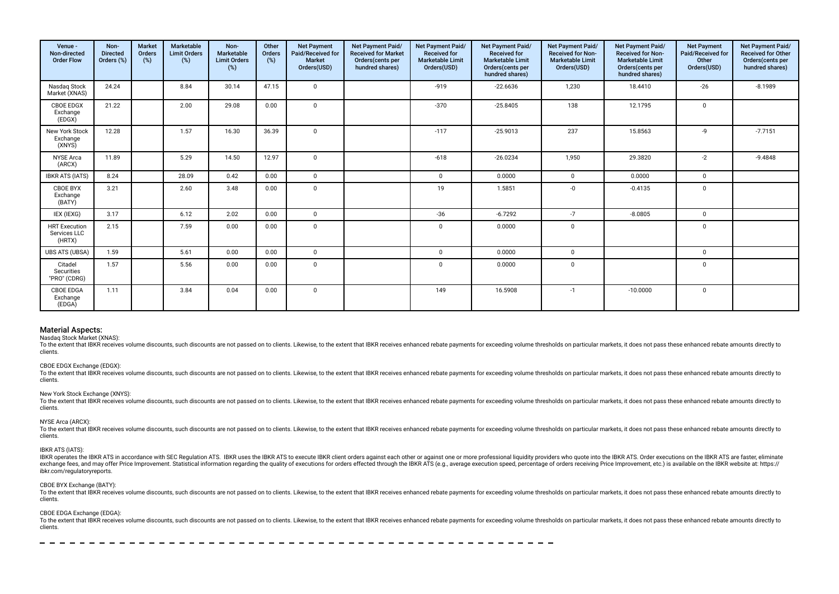| Venue -<br>Non-directed<br><b>Order Flow</b>   | Non-<br><b>Directed</b><br>Orders (%) | <b>Market</b><br>Orders<br>(%) | Marketable<br><b>Limit Orders</b><br>(%) | Non-<br>Marketable<br><b>Limit Orders</b><br>$(\%)$ | Other<br>Orders<br>(%) | <b>Net Payment</b><br>Paid/Received for<br><b>Market</b><br>Orders(USD) | Net Payment Paid/<br><b>Received for Market</b><br>Orders(cents per<br>hundred shares) | Net Payment Paid/<br><b>Received for</b><br><b>Marketable Limit</b><br>Orders(USD) | Net Payment Paid/<br>Received for<br><b>Marketable Limit</b><br>Orders(cents per<br>hundred shares) | Net Payment Paid/<br><b>Received for Non-</b><br><b>Marketable Limit</b><br>Orders(USD) | Net Payment Paid/<br><b>Received for Non-</b><br><b>Marketable Limit</b><br>Orders(cents per<br>hundred shares) | <b>Net Payment</b><br>Paid/Received for<br>Other<br>Orders(USD) | Net Payment Paid/<br>Received for Other<br>Orders(cents per<br>hundred shares) |
|------------------------------------------------|---------------------------------------|--------------------------------|------------------------------------------|-----------------------------------------------------|------------------------|-------------------------------------------------------------------------|----------------------------------------------------------------------------------------|------------------------------------------------------------------------------------|-----------------------------------------------------------------------------------------------------|-----------------------------------------------------------------------------------------|-----------------------------------------------------------------------------------------------------------------|-----------------------------------------------------------------|--------------------------------------------------------------------------------|
| Nasdag Stock<br>Market (XNAS)                  | 24.24                                 |                                | 8.84                                     | 30.14                                               | 47.15                  | $\mathbf 0$                                                             |                                                                                        | $-919$                                                                             | $-22.6636$                                                                                          | 1,230                                                                                   | 18.4410                                                                                                         | $-26$                                                           | $-8.1989$                                                                      |
| <b>CBOE EDGX</b><br>Exchange<br>(EDGX)         | 21.22                                 |                                | 2.00                                     | 29.08                                               | 0.00                   | $\mathbf 0$                                                             |                                                                                        | $-370$                                                                             | $-25.8405$                                                                                          | 138                                                                                     | 12.1795                                                                                                         | $\mathbf 0$                                                     |                                                                                |
| New York Stock<br>Exchange<br>(XNYS)           | 12.28                                 |                                | 1.57                                     | 16.30                                               | 36.39                  | $\mathbf 0$                                                             |                                                                                        | $-117$                                                                             | $-25.9013$                                                                                          | 237                                                                                     | 15.8563                                                                                                         | -9                                                              | $-7.7151$                                                                      |
| NYSE Arca<br>(ARCX)                            | 11.89                                 |                                | 5.29                                     | 14.50                                               | 12.97                  | $\Omega$                                                                |                                                                                        | $-618$                                                                             | $-26.0234$                                                                                          | 1,950                                                                                   | 29.3820                                                                                                         | $-2$                                                            | $-9.4848$                                                                      |
| <b>IBKR ATS (IATS)</b>                         | 8.24                                  |                                | 28.09                                    | 0.42                                                | 0.00                   | $\mathbf 0$                                                             |                                                                                        | $\mathbf 0$                                                                        | 0.0000                                                                                              | $\mathbf 0$                                                                             | 0.0000                                                                                                          | $\mathbf 0$                                                     |                                                                                |
| CBOE BYX<br>Exchange<br>(BATY)                 | 3.21                                  |                                | 2.60                                     | 3.48                                                | 0.00                   | $\mathbf 0$                                                             |                                                                                        | 19                                                                                 | 1.5851                                                                                              | $-0$                                                                                    | $-0.4135$                                                                                                       | $\mathbf 0$                                                     |                                                                                |
| IEX (IEXG)                                     | 3.17                                  |                                | 6.12                                     | 2.02                                                | 0.00                   | $\mathbf 0$                                                             |                                                                                        | $-36$                                                                              | $-6.7292$                                                                                           | $-7$                                                                                    | $-8.0805$                                                                                                       | $\mathbf 0$                                                     |                                                                                |
| <b>HRT</b> Execution<br>Services LLC<br>(HRTX) | 2.15                                  |                                | 7.59                                     | 0.00                                                | 0.00                   | $\mathbf 0$                                                             |                                                                                        | $\mathbf 0$                                                                        | 0.0000                                                                                              | $\mathbf 0$                                                                             |                                                                                                                 | 0                                                               |                                                                                |
| <b>UBS ATS (UBSA)</b>                          | 1.59                                  |                                | 5.61                                     | 0.00                                                | 0.00                   | $\mathbf 0$                                                             |                                                                                        | $\mathbf 0$                                                                        | 0.0000                                                                                              | $\mathbf 0$                                                                             |                                                                                                                 | $\mathbf 0$                                                     |                                                                                |
| Citadel<br>Securities<br>"PRO" (CDRG)          | 1.57                                  |                                | 5.56                                     | 0.00                                                | 0.00                   | $\mathbf 0$                                                             |                                                                                        | $\mathbf 0$                                                                        | 0.0000                                                                                              | $\mathbf 0$                                                                             |                                                                                                                 | $\mathbf 0$                                                     |                                                                                |
| <b>CBOE EDGA</b><br>Exchange<br>(EDGA)         | 1.11                                  |                                | 3.84                                     | 0.04                                                | 0.00                   | $\mathbf{0}$                                                            |                                                                                        | 149                                                                                | 16.5908                                                                                             | $-1$                                                                                    | $-10.0000$                                                                                                      | 0                                                               |                                                                                |

Nasdaq Stock Market (XNAS):

To the extent that IBKR receives volume discounts, such discounts are not passed on to clients. Likewise, to the extent that IBKR receives enhanced rebate payments for exceeding volume thresholds on particular markets, it clients.

#### CBOE EDGX Exchange (EDGX):

To the extent that IBKR receives volume discounts, such discounts are not passed on to clients. Likewise, to the extent that IBKR receives enhanced rebate payments for exceeding volume thresholds on particular markets, it clients.

#### New York Stock Exchange (XNYS):

To the extent that IBKR receives volume discounts, such discounts are not passed on to clients. Likewise, to the extent that IBKR receives enhanced rebate payments for exceeding volume thresholds on particular markets, it clients.

#### NYSE Arca (ARCX):

To the extent that IBKR receives volume discounts, such discounts are not passed on to clients. Likewise, to the extent that IBKR receives enhanced rebate payments for exceeding volume thresholds on particular markets, it clients.

#### IBKR ATS (IATS):

IBKR operates the IBKR ATS in accordance with SEC Regulation ATS. IBKR uses the IBKR ATS to execute IBKR client orders against each other or against one or more professional liguidity providers who quote into the IBKR ATS. exchange fees, and may offer Price Improvement. Statistical information regarding the quality of executions for orders effected through the IBKR ATS (e.g., average execution speed, percentage of orders receiving Price Impr ibkr.com/regulatoryreports.

#### CBOE BYX Exchange (BATY):

To the extent that IBKR receives volume discounts, such discounts are not passed on to clients. Likewise, to the extent that IBKR receives enhanced rebate payments for exceeding volume thresholds on particular markets, it clients.

#### CBOE EDGA Exchange (EDGA):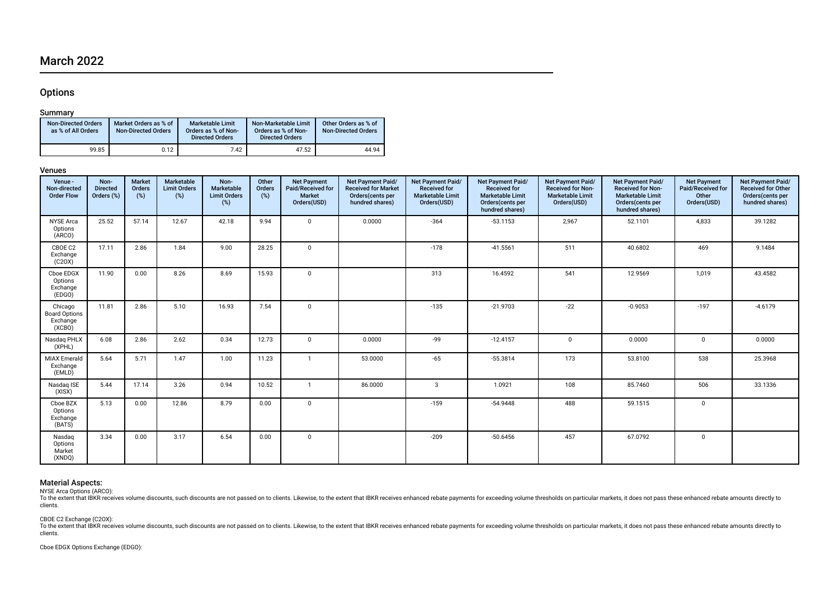# March 2022

# **Options**

## Summary

| <b>Non-Directed Orders</b><br>as % of All Orders | Market Orders as % of<br><b>Non-Directed Orders</b> | <b>Marketable Limit</b><br>Orders as % of Non-<br><b>Directed Orders</b> | Non-Marketable Limit<br>Orders as % of Non-<br><b>Directed Orders</b> | Other Orders as % of<br><b>Non-Directed Orders</b> |
|--------------------------------------------------|-----------------------------------------------------|--------------------------------------------------------------------------|-----------------------------------------------------------------------|----------------------------------------------------|
| 99.85                                            | 0.12                                                | 7.42                                                                     | 47.52                                                                 | 44.94                                              |

## Venues

| Venue -<br>Non-directed<br><b>Order Flow</b>          | Non-<br><b>Directed</b><br>Orders (%) | <b>Market</b><br>Orders<br>$(\%)$ | Marketable<br><b>Limit Orders</b><br>$(\%)$ | Non-<br>Marketable<br><b>Limit Orders</b><br>$(\%)$ | Other<br>Orders<br>(%) | <b>Net Payment</b><br>Paid/Received for<br><b>Market</b><br>Orders(USD) | Net Payment Paid/<br><b>Received for Market</b><br>Orders(cents per<br>hundred shares) | Net Payment Paid/<br><b>Received for</b><br><b>Marketable Limit</b><br>Orders(USD) | Net Payment Paid/<br><b>Received for</b><br><b>Marketable Limit</b><br>Orders(cents per<br>hundred shares) | Net Payment Paid/<br><b>Received for Non-</b><br><b>Marketable Limit</b><br>Orders(USD) | Net Payment Paid/<br><b>Received for Non-</b><br><b>Marketable Limit</b><br>Orders(cents per<br>hundred shares) | <b>Net Payment</b><br>Paid/Received for<br>Other<br>Orders(USD) | Net Payment Paid/<br><b>Received for Other</b><br>Orders(cents per<br>hundred shares) |
|-------------------------------------------------------|---------------------------------------|-----------------------------------|---------------------------------------------|-----------------------------------------------------|------------------------|-------------------------------------------------------------------------|----------------------------------------------------------------------------------------|------------------------------------------------------------------------------------|------------------------------------------------------------------------------------------------------------|-----------------------------------------------------------------------------------------|-----------------------------------------------------------------------------------------------------------------|-----------------------------------------------------------------|---------------------------------------------------------------------------------------|
| <b>NYSE Arca</b><br>Options<br>(ARCO)                 | 25.52                                 | 57.14                             | 12.67                                       | 42.18                                               | 9.94                   | $\mathbf{0}$                                                            | 0.0000                                                                                 | $-364$                                                                             | $-53.1153$                                                                                                 | 2,967                                                                                   | 52.1101                                                                                                         | 4,833                                                           | 39.1282                                                                               |
| CBOE C2<br>Exchange<br>(C20X)                         | 17.11                                 | 2.86                              | 1.84                                        | 9.00                                                | 28.25                  | $\mathbf{0}$                                                            |                                                                                        | $-178$                                                                             | $-41.5561$                                                                                                 | 511                                                                                     | 40.6802                                                                                                         | 469                                                             | 9.1484                                                                                |
| Cboe EDGX<br>Options<br>Exchange<br>(EDGO)            | 11.90                                 | 0.00                              | 8.26                                        | 8.69                                                | 15.93                  | $\mathbf 0$                                                             |                                                                                        | 313                                                                                | 16.4592                                                                                                    | 541                                                                                     | 12.9569                                                                                                         | 1,019                                                           | 43.4582                                                                               |
| Chicago<br><b>Board Options</b><br>Exchange<br>(XCBO) | 11.81                                 | 2.86                              | 5.10                                        | 16.93                                               | 7.54                   | $\mathbf{0}$                                                            |                                                                                        | $-135$                                                                             | $-21.9703$                                                                                                 | $-22$                                                                                   | $-0.9053$                                                                                                       | $-197$                                                          | $-4.6179$                                                                             |
| Nasdag PHLX<br>(XPHL)                                 | 6.08                                  | 2.86                              | 2.62                                        | 0.34                                                | 12.73                  | $\mathbf 0$                                                             | 0.0000                                                                                 | $-99$                                                                              | $-12.4157$                                                                                                 | $\mathbf{0}$                                                                            | 0.0000                                                                                                          | $\mathbf 0$                                                     | 0.0000                                                                                |
| <b>MIAX Emerald</b><br>Exchange<br>(EMLD)             | 5.64                                  | 5.71                              | 1.47                                        | 1.00                                                | 11.23                  | $\mathbf{1}$                                                            | 53.0000                                                                                | $-65$                                                                              | $-55.3814$                                                                                                 | 173                                                                                     | 53.8100                                                                                                         | 538                                                             | 25.3968                                                                               |
| Nasdaq ISE<br>(XISX)                                  | 5.44                                  | 17.14                             | 3.26                                        | 0.94                                                | 10.52                  | $\overline{1}$                                                          | 86.0000                                                                                | 3                                                                                  | 1.0921                                                                                                     | 108                                                                                     | 85.7460                                                                                                         | 506                                                             | 33.1336                                                                               |
| Cboe BZX<br>Options<br>Exchange<br>(BATS)             | 5.13                                  | 0.00                              | 12.86                                       | 8.79                                                | 0.00                   | $\mathbf 0$                                                             |                                                                                        | $-159$                                                                             | $-54.9448$                                                                                                 | 488                                                                                     | 59.1515                                                                                                         | $\mathbf 0$                                                     |                                                                                       |
| Nasdag<br>Options<br>Market<br>(XNDQ)                 | 3.34                                  | 0.00                              | 3.17                                        | 6.54                                                | 0.00                   | $\mathbf 0$                                                             |                                                                                        | $-209$                                                                             | $-50.6456$                                                                                                 | 457                                                                                     | 67.0792                                                                                                         | 0                                                               |                                                                                       |

## Material Aspects:

NYSE Arca Options (ARCO):<br>To the extent that IBKR receives volume discounts, such discounts are not passed on to clients. Likewise, to the extent that IBKR receives enhanced rebate payments for exceeding volume thresholds clients.

## CBOE C2 Exchange (C2OX):

To the extent that IBKR receives volume discounts, such discounts are not passed on to clients. Likewise, to the extent that IBKR receives enhanced rebate payments for exceeding volume thresholds on particular markets, it clients.

Cboe EDGX Options Exchange (EDGO):